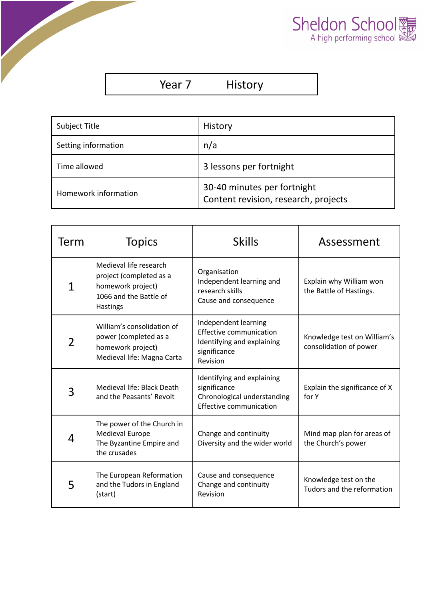

| Year |  |
|------|--|
|      |  |

History

| Subject Title        | History                                                             |  |
|----------------------|---------------------------------------------------------------------|--|
| Setting information  | n/a                                                                 |  |
| Time allowed         | 3 lessons per fortnight                                             |  |
| Homework information | 30-40 minutes per fortnight<br>Content revision, research, projects |  |

| Term           | <b>Topics</b>                                                                                                | <b>Skills</b>                                                                                                    | Assessment                                            |
|----------------|--------------------------------------------------------------------------------------------------------------|------------------------------------------------------------------------------------------------------------------|-------------------------------------------------------|
| $\mathbf 1$    | Medieval life research<br>project (completed as a<br>homework project)<br>1066 and the Battle of<br>Hastings | Organisation<br>Independent learning and<br>research skills<br>Cause and consequence                             | Explain why William won<br>the Battle of Hastings.    |
| $\overline{2}$ | William's consolidation of<br>power (completed as a<br>homework project)<br>Medieval life: Magna Carta       | Independent learning<br><b>Effective communication</b><br>Identifying and explaining<br>significance<br>Revision | Knowledge test on William's<br>consolidation of power |
| 3              | Medieval life: Black Death<br>and the Peasants' Revolt                                                       | Identifying and explaining<br>significance<br>Chronological understanding<br>Effective communication             | Explain the significance of X<br>for Y                |
| 4              | The power of the Church in<br><b>Medieval Europe</b><br>The Byzantine Empire and<br>the crusades             | Change and continuity<br>Diversity and the wider world                                                           | Mind map plan for areas of<br>the Church's power      |
| 5              | The European Reformation<br>and the Tudors in England<br>(start)                                             | Cause and consequence<br>Change and continuity<br>Revision                                                       | Knowledge test on the<br>Tudors and the reformation   |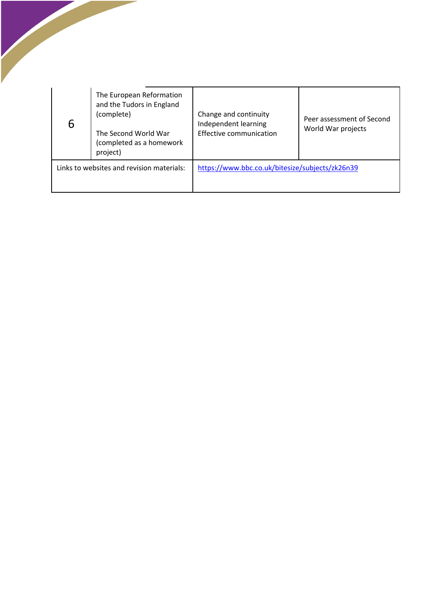| 6                                         | The European Reformation<br>and the Tudors in England<br>(complete)<br>The Second World War<br>(completed as a homework<br>project) | Change and continuity<br>Independent learning<br><b>Effective communication</b> | Peer assessment of Second<br>World War projects |
|-------------------------------------------|-------------------------------------------------------------------------------------------------------------------------------------|---------------------------------------------------------------------------------|-------------------------------------------------|
| Links to websites and revision materials: |                                                                                                                                     | https://www.bbc.co.uk/bitesize/subjects/zk26n39                                 |                                                 |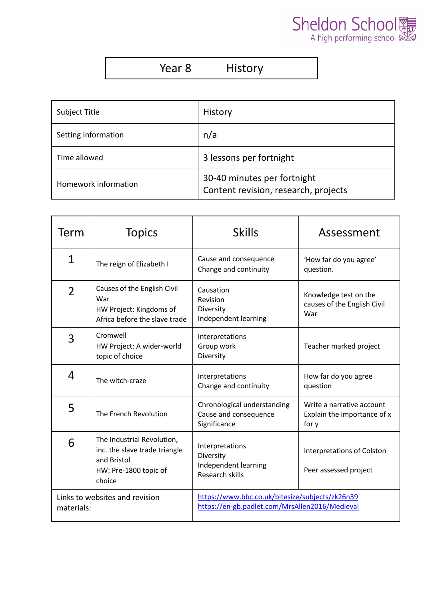

| Year 8 | <b>History</b> |
|--------|----------------|
|--------|----------------|

| Subject Title        | History                                                             |  |
|----------------------|---------------------------------------------------------------------|--|
| Setting information  | n/a                                                                 |  |
| Time allowed         | 3 lessons per fortnight                                             |  |
| Homework information | 30-40 minutes per fortnight<br>Content revision, research, projects |  |

| Term                                         | <b>Topics</b>                                                                                                 | <b>Skills</b>                                                                                     | Assessment                                                        |
|----------------------------------------------|---------------------------------------------------------------------------------------------------------------|---------------------------------------------------------------------------------------------------|-------------------------------------------------------------------|
| $\mathbf{1}$                                 | The reign of Elizabeth I                                                                                      | Cause and consequence<br>Change and continuity                                                    | 'How far do you agree'<br>question.                               |
| $\overline{2}$                               | Causes of the English Civil<br>War<br>HW Project: Kingdoms of<br>Africa before the slave trade                | Causation<br>Revision<br>Diversity<br>Independent learning                                        | Knowledge test on the<br>causes of the English Civil<br>War       |
| 3                                            | Cromwell<br>HW Project: A wider-world<br>topic of choice                                                      | Interpretations<br>Group work<br>Diversity                                                        | Teacher marked project                                            |
| 4                                            | The witch-craze                                                                                               | Interpretations<br>Change and continuity                                                          | How far do you agree<br>question                                  |
| 5                                            | The French Revolution                                                                                         | Chronological understanding<br>Cause and consequence<br>Significance                              | Write a narrative account<br>Explain the importance of x<br>for y |
| 6                                            | The Industrial Revolution,<br>inc. the slave trade triangle<br>and Bristol<br>HW: Pre-1800 topic of<br>choice | Interpretations<br>Diversity<br>Independent learning<br>Research skills                           | <b>Interpretations of Colston</b><br>Peer assessed project        |
| Links to websites and revision<br>materials: |                                                                                                               | https://www.bbc.co.uk/bitesize/subjects/zk26n39<br>https://en-gb.padlet.com/MrsAllen2016/Medieval |                                                                   |